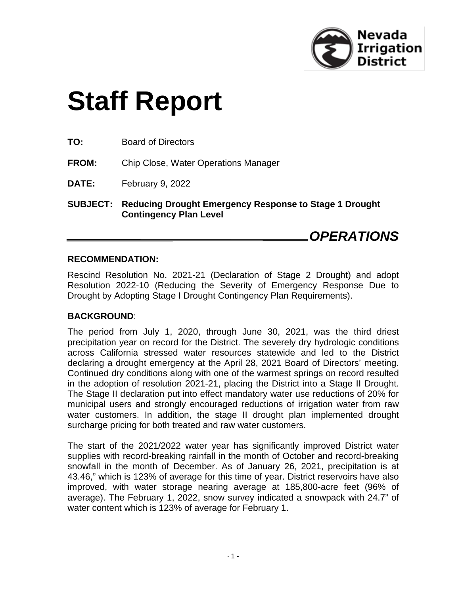

# **Staff Report**

**TO:** Board of Directors

**FROM:** Chip Close, Water Operations Manager

**DATE:** February 9, 2022

**SUBJECT: Reducing Drought Emergency Response to Stage 1 Drought Contingency Plan Level**

## *OPERATIONS*

#### **RECOMMENDATION:**

Rescind Resolution No. 2021-21 (Declaration of Stage 2 Drought) and adopt Resolution 2022-10 (Reducing the Severity of Emergency Response Due to Drought by Adopting Stage I Drought Contingency Plan Requirements).

#### **BACKGROUND**:

The period from July 1, 2020, through June 30, 2021, was the third driest precipitation year on record for the District. The severely dry hydrologic conditions across California stressed water resources statewide and led to the District declaring a drought emergency at the April 28, 2021 Board of Directors' meeting. Continued dry conditions along with one of the warmest springs on record resulted in the adoption of resolution 2021-21, placing the District into a Stage II Drought. The Stage II declaration put into effect mandatory water use reductions of 20% for municipal users and strongly encouraged reductions of irrigation water from raw water customers. In addition, the stage II drought plan implemented drought surcharge pricing for both treated and raw water customers.

The start of the 2021/2022 water year has significantly improved District water supplies with record-breaking rainfall in the month of October and record-breaking snowfall in the month of December. As of January 26, 2021, precipitation is at 43.46," which is 123% of average for this time of year. District reservoirs have also improved, with water storage nearing average at 185,800-acre feet (96% of average). The February 1, 2022, snow survey indicated a snowpack with 24.7" of water content which is 123% of average for February 1.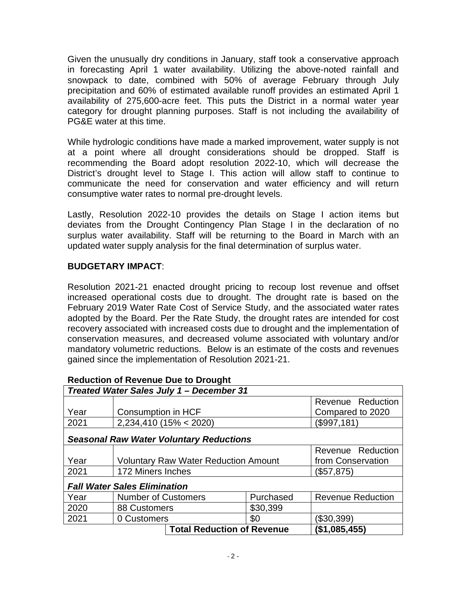Given the unusually dry conditions in January, staff took a conservative approach in forecasting April 1 water availability. Utilizing the above-noted rainfall and snowpack to date, combined with 50% of average February through July precipitation and 60% of estimated available runoff provides an estimated April 1 availability of 275,600-acre feet. This puts the District in a normal water year category for drought planning purposes. Staff is not including the availability of PG&E water at this time.

While hydrologic conditions have made a marked improvement, water supply is not at a point where all drought considerations should be dropped. Staff is recommending the Board adopt resolution 2022-10, which will decrease the District's drought level to Stage I. This action will allow staff to continue to communicate the need for conservation and water efficiency and will return consumptive water rates to normal pre-drought levels.

Lastly, Resolution 2022-10 provides the details on Stage I action items but deviates from the Drought Contingency Plan Stage I in the declaration of no surplus water availability. Staff will be returning to the Board in March with an updated water supply analysis for the final determination of surplus water.

#### **BUDGETARY IMPACT**:

Resolution 2021-21 enacted drought pricing to recoup lost revenue and offset increased operational costs due to drought. The drought rate is based on the February 2019 Water Rate Cost of Service Study, and the associated water rates adopted by the Board. Per the Rate Study, the drought rates are intended for cost recovery associated with increased costs due to drought and the implementation of conservation measures, and decreased volume associated with voluntary and/or mandatory volumetric reductions. Below is an estimate of the costs and revenues gained since the implementation of Resolution 2021-21.

| Treated Water Sales July 1 - December 31       |                                             |               |           |                          |                   |  |
|------------------------------------------------|---------------------------------------------|---------------|-----------|--------------------------|-------------------|--|
|                                                |                                             |               |           |                          | Revenue Reduction |  |
| Year                                           | Consumption in HCF                          |               |           | Compared to 2020         |                   |  |
| 2021                                           | $2,234,410$ (15% < 2020)                    |               |           | (\$997,181)              |                   |  |
| <b>Seasonal Raw Water Voluntary Reductions</b> |                                             |               |           |                          |                   |  |
|                                                |                                             |               |           |                          | Revenue Reduction |  |
| Year                                           | <b>Voluntary Raw Water Reduction Amount</b> |               |           | from Conservation        |                   |  |
| 2021                                           | 172 Miners Inches                           |               |           | (\$57,875)               |                   |  |
| <b>Fall Water Sales Elimination</b>            |                                             |               |           |                          |                   |  |
| Year                                           | <b>Number of Customers</b>                  |               | Purchased | <b>Revenue Reduction</b> |                   |  |
| 2020                                           | 88 Customers                                |               | \$30,399  |                          |                   |  |
| 2021                                           | 0 Customers                                 |               | \$0       | (\$30,399)               |                   |  |
| <b>Total Reduction of Revenue</b>              |                                             | (\$1,085,455) |           |                          |                   |  |

#### **Reduction of Revenue Due to Drought**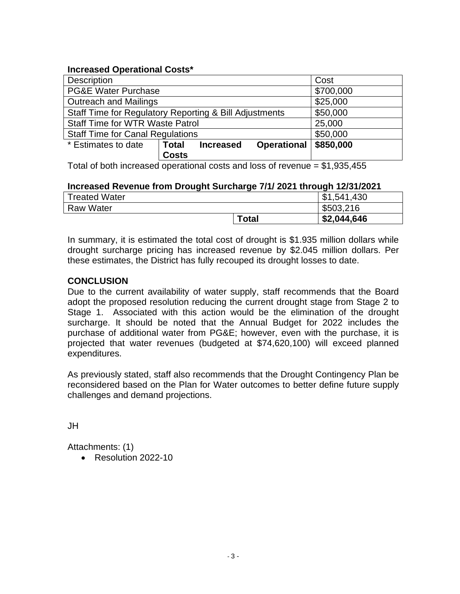#### **Increased Operational Costs\***

| <b>Description</b>                                     | Cost         |                  |                    |           |
|--------------------------------------------------------|--------------|------------------|--------------------|-----------|
| <b>PG&amp;E Water Purchase</b>                         | \$700,000    |                  |                    |           |
| <b>Outreach and Mailings</b>                           | \$25,000     |                  |                    |           |
| Staff Time for Regulatory Reporting & Bill Adjustments | \$50,000     |                  |                    |           |
| <b>Staff Time for WTR Waste Patrol</b>                 | 25,000       |                  |                    |           |
| <b>Staff Time for Canal Regulations</b>                | \$50,000     |                  |                    |           |
| * Estimates to date                                    | <b>Total</b> | <b>Increased</b> | <b>Operational</b> | \$850,000 |
|                                                        | <b>Costs</b> |                  |                    |           |

Total of both increased operational costs and loss of revenue = \$1,935,455

#### **Increased Revenue from Drought Surcharge 7/1/ 2021 through 12/31/2021**

| <b>Treated Water</b> |       | .541,430    |
|----------------------|-------|-------------|
| <b>Raw Water</b>     |       | \$503,216   |
|                      | Total | \$2,044,646 |

In summary, it is estimated the total cost of drought is \$1.935 million dollars while drought surcharge pricing has increased revenue by \$2.045 million dollars. Per these estimates, the District has fully recouped its drought losses to date.

#### **CONCLUSION**

Due to the current availability of water supply, staff recommends that the Board adopt the proposed resolution reducing the current drought stage from Stage 2 to Stage 1. Associated with this action would be the elimination of the drought surcharge. It should be noted that the Annual Budget for 2022 includes the purchase of additional water from PG&E; however, even with the purchase, it is projected that water revenues (budgeted at \$74,620,100) will exceed planned expenditures.

As previously stated, staff also recommends that the Drought Contingency Plan be reconsidered based on the Plan for Water outcomes to better define future supply challenges and demand projections.

JH

Attachments: (1)

• Resolution 2022-10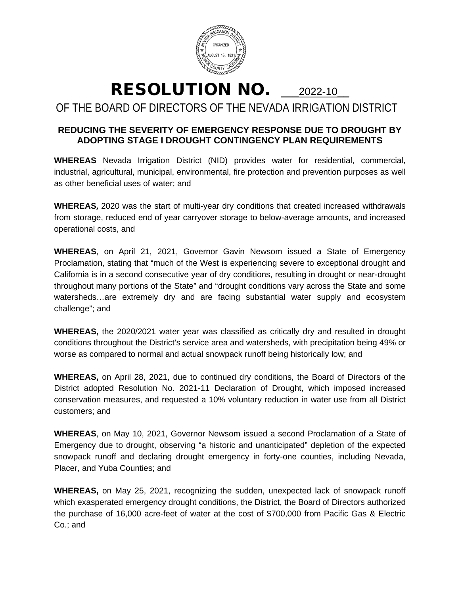

# RESOLUTION NO. 2022-10

### OF THE BOARD OF DIRECTORS OF THE NEVADA IRRIGATION DISTRICT

#### **REDUCING THE SEVERITY OF EMERGENCY RESPONSE DUE TO DROUGHT BY ADOPTING STAGE I DROUGHT CONTINGENCY PLAN REQUIREMENTS**

**WHEREAS** Nevada Irrigation District (NID) provides water for residential, commercial, industrial, agricultural, municipal, environmental, fire protection and prevention purposes as well as other beneficial uses of water; and

**WHEREAS,** 2020 was the start of multi-year dry conditions that created increased withdrawals from storage, reduced end of year carryover storage to below-average amounts, and increased operational costs, and

**WHEREAS**, on April 21, 2021, Governor Gavin Newsom issued a State of Emergency Proclamation, stating that "much of the West is experiencing severe to exceptional drought and California is in a second consecutive year of dry conditions, resulting in drought or near-drought throughout many portions of the State" and "drought conditions vary across the State and some watersheds…are extremely dry and are facing substantial water supply and ecosystem challenge"; and

**WHEREAS,** the 2020/2021 water year was classified as critically dry and resulted in drought conditions throughout the District's service area and watersheds, with precipitation being 49% or worse as compared to normal and actual snowpack runoff being historically low; and

**WHEREAS,** on April 28, 2021, due to continued dry conditions, the Board of Directors of the District adopted Resolution No. 2021-11 Declaration of Drought, which imposed increased conservation measures, and requested a 10% voluntary reduction in water use from all District customers; and

**WHEREAS**, on May 10, 2021, Governor Newsom issued a second Proclamation of a State of Emergency due to drought, observing "a historic and unanticipated" depletion of the expected snowpack runoff and declaring drought emergency in forty-one counties, including Nevada, Placer, and Yuba Counties; and

**WHEREAS,** on May 25, 2021, recognizing the sudden, unexpected lack of snowpack runoff which exasperated emergency drought conditions, the District, the Board of Directors authorized the purchase of 16,000 acre-feet of water at the cost of \$700,000 from Pacific Gas & Electric Co.; and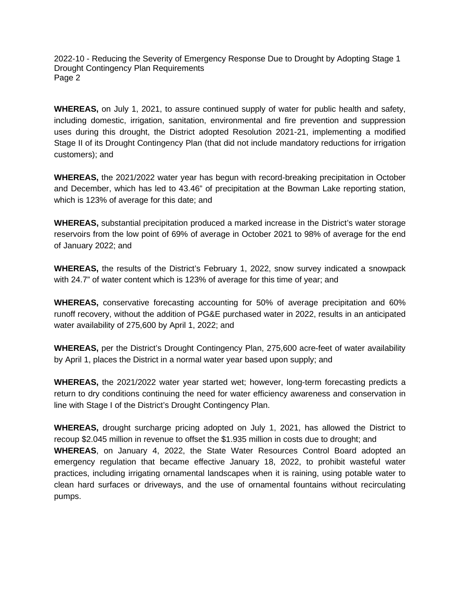2022-10 - Reducing the Severity of Emergency Response Due to Drought by Adopting Stage 1 Drought Contingency Plan Requirements Page 2

**WHEREAS,** on July 1, 2021, to assure continued supply of water for public health and safety, including domestic, irrigation, sanitation, environmental and fire prevention and suppression uses during this drought, the District adopted Resolution 2021-21, implementing a modified Stage II of its Drought Contingency Plan (that did not include mandatory reductions for irrigation customers); and

**WHEREAS,** the 2021/2022 water year has begun with record-breaking precipitation in October and December, which has led to 43.46" of precipitation at the Bowman Lake reporting station, which is 123% of average for this date; and

**WHEREAS,** substantial precipitation produced a marked increase in the District's water storage reservoirs from the low point of 69% of average in October 2021 to 98% of average for the end of January 2022; and

**WHEREAS,** the results of the District's February 1, 2022, snow survey indicated a snowpack with 24.7" of water content which is 123% of average for this time of year; and

**WHEREAS,** conservative forecasting accounting for 50% of average precipitation and 60% runoff recovery, without the addition of PG&E purchased water in 2022, results in an anticipated water availability of 275,600 by April 1, 2022; and

**WHEREAS,** per the District's Drought Contingency Plan, 275,600 acre-feet of water availability by April 1, places the District in a normal water year based upon supply; and

**WHEREAS,** the 2021/2022 water year started wet; however, long-term forecasting predicts a return to dry conditions continuing the need for water efficiency awareness and conservation in line with Stage I of the District's Drought Contingency Plan.

**WHEREAS,** drought surcharge pricing adopted on July 1, 2021, has allowed the District to recoup \$2.045 million in revenue to offset the \$1.935 million in costs due to drought; and **WHEREAS**, on January 4, 2022, the State Water Resources Control Board adopted an emergency regulation that became effective January 18, 2022, to prohibit wasteful water practices, including irrigating ornamental landscapes when it is raining, using potable water to clean hard surfaces or driveways, and the use of ornamental fountains without recirculating pumps.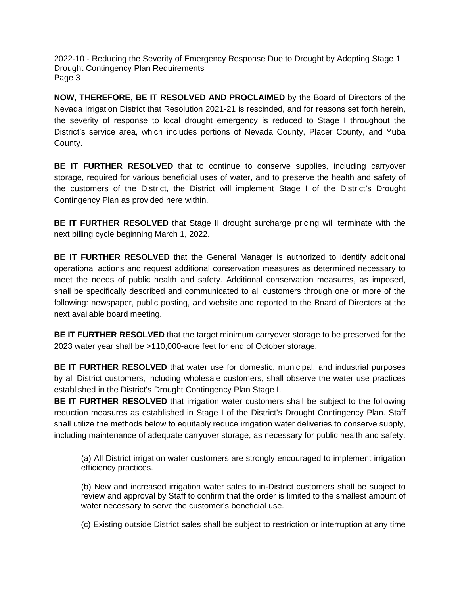2022-10 - Reducing the Severity of Emergency Response Due to Drought by Adopting Stage 1 Drought Contingency Plan Requirements Page 3

**NOW, THEREFORE, BE IT RESOLVED AND PROCLAIMED** by the Board of Directors of the Nevada Irrigation District that Resolution 2021-21 is rescinded, and for reasons set forth herein, the severity of response to local drought emergency is reduced to Stage I throughout the District's service area, which includes portions of Nevada County, Placer County, and Yuba County.

**BE IT FURTHER RESOLVED** that to continue to conserve supplies, including carryover storage, required for various beneficial uses of water, and to preserve the health and safety of the customers of the District, the District will implement Stage I of the District's Drought Contingency Plan as provided here within.

**BE IT FURTHER RESOLVED** that Stage II drought surcharge pricing will terminate with the next billing cycle beginning March 1, 2022.

**BE IT FURTHER RESOLVED** that the General Manager is authorized to identify additional operational actions and request additional conservation measures as determined necessary to meet the needs of public health and safety. Additional conservation measures, as imposed, shall be specifically described and communicated to all customers through one or more of the following: newspaper, public posting, and website and reported to the Board of Directors at the next available board meeting.

**BE IT FURTHER RESOLVED** that the target minimum carryover storage to be preserved for the 2023 water year shall be >110,000-acre feet for end of October storage.

**BE IT FURTHER RESOLVED** that water use for domestic, municipal, and industrial purposes by all District customers, including wholesale customers, shall observe the water use practices established in the District's Drought Contingency Plan Stage I.

**BE IT FURTHER RESOLVED** that irrigation water customers shall be subject to the following reduction measures as established in Stage I of the District's Drought Contingency Plan. Staff shall utilize the methods below to equitably reduce irrigation water deliveries to conserve supply, including maintenance of adequate carryover storage, as necessary for public health and safety:

(a) All District irrigation water customers are strongly encouraged to implement irrigation efficiency practices.

(b) New and increased irrigation water sales to in-District customers shall be subject to review and approval by Staff to confirm that the order is limited to the smallest amount of water necessary to serve the customer's beneficial use.

(c) Existing outside District sales shall be subject to restriction or interruption at any time